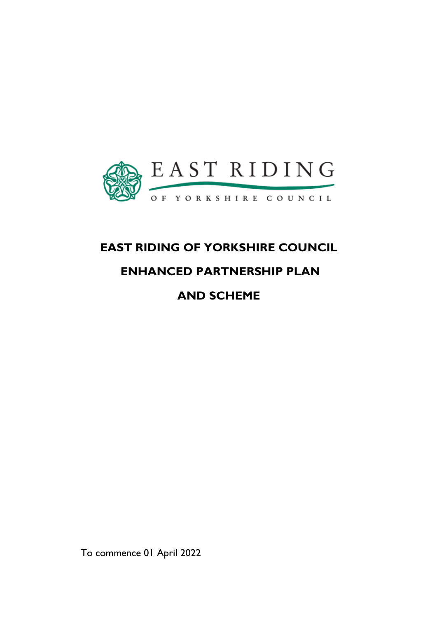

# **EAST RIDING OF YORKSHIRE COUNCIL**

# **ENHANCED PARTNERSHIP PLAN**

**AND SCHEME**

To commence 01 April 2022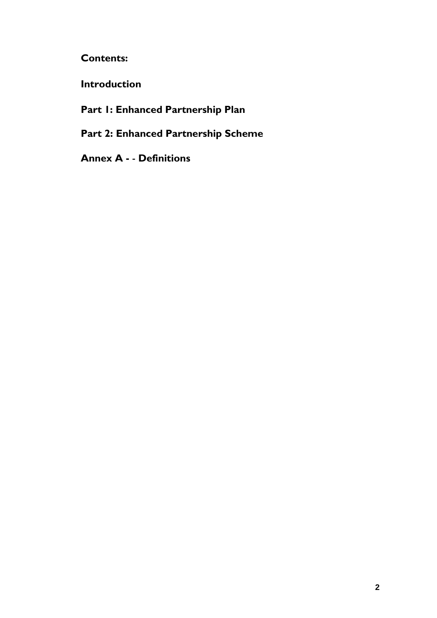# **Contents:**

**Introduction**

# **Part 1: Enhanced Partnership Plan**

# **Part 2: Enhanced Partnership Scheme**

**Annex A -** - **Definitions**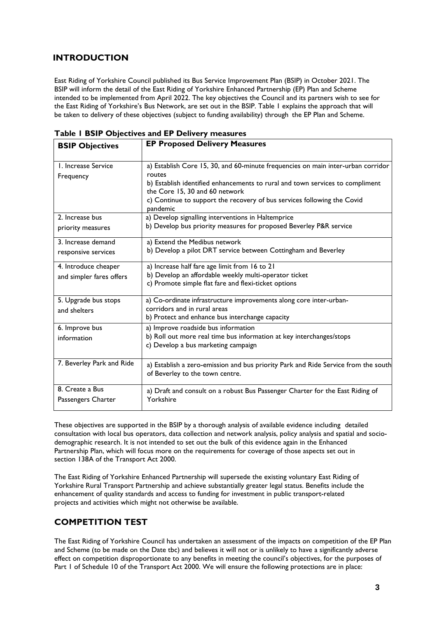# **INTRODUCTION**

East Riding of Yorkshire Council published its Bus Service Improvement Plan (BSIP) in October 2021. The BSIP will inform the detail of the East Riding of Yorkshire Enhanced Partnership (EP) Plan and Scheme intended to be implemented from April 2022. The key objectives the Council and its partners wish to see for the East Riding of Yorkshire's Bus Network, are set out in the BSIP. Table 1 explains the approach that will be taken to delivery of these objectives (subject to funding availability) through the EP Plan and Scheme.

| <b>BSIP Objectives</b>    | <b>EP Proposed Delivery Measures</b>                                                                                  |
|---------------------------|-----------------------------------------------------------------------------------------------------------------------|
| L. Increase Service       | a) Establish Core 15, 30, and 60-minute frequencies on main inter-urban corridor                                      |
| Frequency                 | routes                                                                                                                |
|                           | b) Establish identified enhancements to rural and town services to compliment<br>the Core 15, 30 and 60 network       |
|                           | c) Continue to support the recovery of bus services following the Covid<br>pandemic                                   |
| 2. Increase bus           | a) Develop signalling interventions in Haltemprice                                                                    |
| priority measures         | b) Develop bus priority measures for proposed Beverley P&R service                                                    |
| 3. Increase demand        | a) Extend the Medibus network                                                                                         |
| responsive services       | b) Develop a pilot DRT service between Cottingham and Beverley                                                        |
| 4. Introduce cheaper      | a) Increase half fare age limit from 16 to 21                                                                         |
| and simpler fares offers  | b) Develop an affordable weekly multi-operator ticket                                                                 |
|                           | c) Promote simple flat fare and flexi-ticket options                                                                  |
| 5. Upgrade bus stops      | a) Co-ordinate infrastructure improvements along core inter-urban-                                                    |
| and shelters              | corridors and in rural areas                                                                                          |
|                           | b) Protect and enhance bus interchange capacity                                                                       |
| 6. Improve bus            | a) Improve roadside bus information                                                                                   |
| information               | b) Roll out more real time bus information at key interchanges/stops                                                  |
|                           | c) Develop a bus marketing campaign                                                                                   |
| 7. Beverley Park and Ride | a) Establish a zero-emission and bus priority Park and Ride Service from the south<br>of Beverley to the town centre. |
| 8. Create a Bus           | a) Draft and consult on a robust Bus Passenger Charter for the East Riding of                                         |
| Passengers Charter        | Yorkshire                                                                                                             |

**Table 1 BSIP Objectives and EP Delivery measures**

These objectives are supported in the BSIP by a thorough analysis of available evidence including detailed consultation with local bus operators, data collection and network analysis, policy analysis and spatial and sociodemographic research. It is not intended to set out the bulk of this evidence again in the Enhanced Partnership Plan, which will focus more on the requirements for coverage of those aspects set out in section 138A of the Transport Act 2000.

The East Riding of Yorkshire Enhanced Partnership will supersede the existing voluntary East Riding of Yorkshire Rural Transport Partnership and achieve substantially greater legal status. Benefits include the enhancement of quality standards and access to funding for investment in public transport-related projects and activities which might not otherwise be available.

# **COMPETITION TEST**

The East Riding of Yorkshire Council has undertaken an assessment of the impacts on competition of the EP Plan and Scheme (to be made on the Date tbc) and believes it will not or is unlikely to have a significantly adverse effect on competition disproportionate to any benefits in meeting the council's objectives, for the purposes of Part 1 of Schedule 10 of the Transport Act 2000. We will ensure the following protections are in place: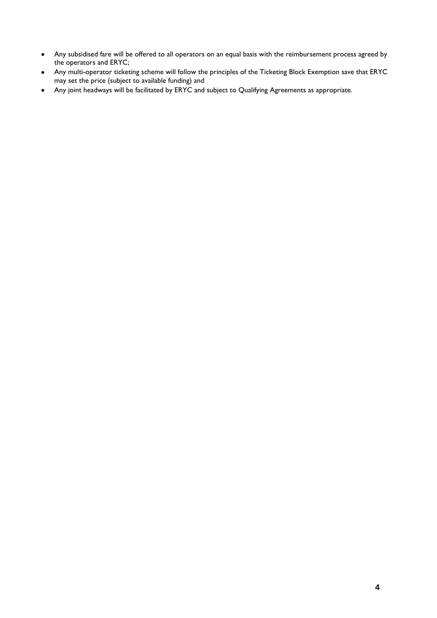- Any subsidised fare will be offered to all operators on an equal basis with the reimbursement process agreed by the operators and ERYC;
- Any multi-operator ticketing scheme will follow the principles of the Ticketing Block Exemption save that ERYC may set the price (subject to available funding) and
- Any joint headways will be facilitated by ERYC and subject to Qualifying Agreements as appropriate.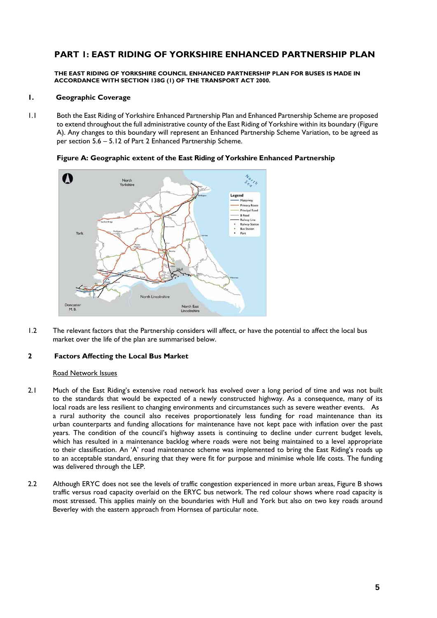# **PART 1: EAST RIDING OF YORKSHIRE ENHANCED PARTNERSHIP PLAN**

**THE EAST RIDING OF YORKSHIRE COUNCIL ENHANCED PARTNERSHIP PLAN FOR BUSES IS MADE IN ACCORDANCE WITH SECTION 138G (1) OF THE TRANSPORT ACT 2000.**

## **1. Geographic Coverage**

1.1 Both the East Riding of Yorkshire Enhanced Partnership Plan and Enhanced Partnership Scheme are proposed to extend throughout the full administrative county of the East Riding of Yorkshire within its boundary (Figure A). Any changes to this boundary will represent an Enhanced Partnership Scheme Variation, to be agreed as per section 5.6 – 5.12 of Part 2 Enhanced Partnership Scheme.



**Figure A: Geographic extent of the East Riding of Yorkshire Enhanced Partnership**

1.2 The relevant factors that the Partnership considers will affect, or have the potential to affect the local bus market over the life of the plan are summarised below.

## **2 Factors Affecting the Local Bus Market**

### Road Network Issues

- 2.1 Much of the East Riding's extensive road network has evolved over a long period of time and was not built to the standards that would be expected of a newly constructed highway. As a consequence, many of its local roads are less resilient to changing environments and circumstances such as severe weather events. As a rural authority the council also receives proportionately less funding for road maintenance than its urban counterparts and funding allocations for maintenance have not kept pace with inflation over the past years. The condition of the council's highway assets is continuing to decline under current budget levels, which has resulted in a maintenance backlog where roads were not being maintained to a level appropriate to their classification. An 'A' road maintenance scheme was implemented to bring the East Riding's roads up to an acceptable standard, ensuring that they were fit for purpose and minimise whole life costs. The funding was delivered through the LEP.
- 2.2 Although ERYC does not see the levels of traffic congestion experienced in more urban areas, Figure B shows traffic versus road capacity overlaid on the ERYC bus network. The red colour shows where road capacity is most stressed. This applies mainly on the boundaries with Hull and York but also on two key roads around Beverley with the eastern approach from Hornsea of particular note.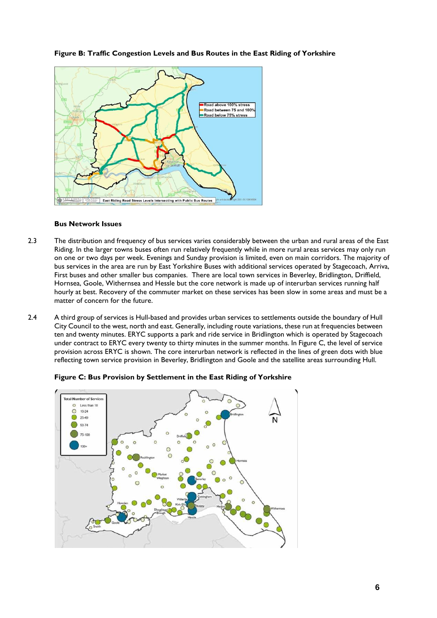

# **Figure B: Traffic Congestion Levels and Bus Routes in the East Riding of Yorkshire**

## **Bus Network Issues**

- 2.3 The distribution and frequency of bus services varies considerably between the urban and rural areas of the East Riding. In the larger towns buses often run relatively frequently while in more rural areas services may only run on one or two days per week. Evenings and Sunday provision is limited, even on main corridors. The majority of bus services in the area are run by East Yorkshire Buses with additional services operated by Stagecoach, Arriva, First buses and other smaller bus companies. There are local town services in Beverley, Bridlington, Driffield, Hornsea, Goole, Withernsea and Hessle but the core network is made up of interurban services running half hourly at best. Recovery of the commuter market on these services has been slow in some areas and must be a matter of concern for the future.
- 2.4 A third group of services is Hull-based and provides urban services to settlements outside the boundary of Hull City Council to the west, north and east. Generally, including route variations, these run at frequencies between ten and twenty minutes. ERYC supports a park and ride service in Bridlington which is operated by Stagecoach under contract to ERYC every twenty to thirty minutes in the summer months. In Figure C, the level of service provision across ERYC is shown. The core interurban network is reflected in the lines of green dots with blue reflecting town service provision in Beverley, Bridlington and Goole and the satellite areas surrounding Hull.



**Figure C: Bus Provision by Settlement in the East Riding of Yorkshire**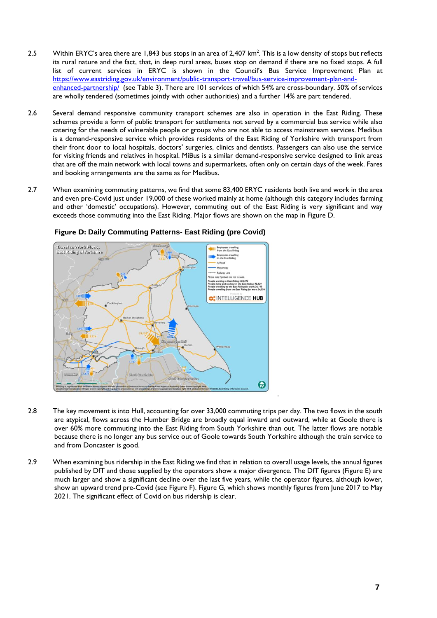- 2.5 Within ERYC's area there are 1,843 bus stops in an area of 2,407 km<sup>2</sup> . This is a low density of stops but reflects its rural nature and the fact, that, in deep rural areas, buses stop on demand if there are no fixed stops. A full list of current services in ERYC is shown in the Council's Bus Service Improvement Plan at [https://www.eastriding.gov.uk/environment/public-transport-travel/bus-service-improvement-plan-and](https://www.eastriding.gov.uk/environment/public-transport-travel/bus-service-improvement-plan-and-%09enhanced-partnership/)[enhanced-partnership/](https://www.eastriding.gov.uk/environment/public-transport-travel/bus-service-improvement-plan-and-%09enhanced-partnership/) (see Table 3). There are 101 services of which 54% are cross-boundary. 50% of services are wholly tendered (sometimes jointly with other authorities) and a further 14% are part tendered.
- 2.6 Several demand responsive community transport schemes are also in operation in the East Riding. These schemes provide a form of public transport for settlements not served by a commercial bus service while also catering for the needs of vulnerable people or groups who are not able to access mainstream services. Medibus is a demand-responsive service which provides residents of the East Riding of Yorkshire with transport from their front door to local hospitals, doctors' surgeries, clinics and dentists. Passengers can also use the service for visiting friends and relatives in hospital. MiBus is a similar demand-responsive service designed to link areas that are off the main network with local towns and supermarkets, often only on certain days of the week. Fares and booking arrangements are the same as for Medibus.
- 2.7 When examining commuting patterns, we find that some 83,400 ERYC residents both live and work in the area and even pre-Covid just under 19,000 of these worked mainly at home (although this category includes farming and other 'domestic' occupations). However, commuting out of the East Riding is very significant and way exceeds those commuting into the East Riding. Major flows are shown on the map in Figure D.



# **Figure D: Daily Commuting Patterns- East Riding (pre Covid)**

2.8 The key movement is into Hull, accounting for over 33,000 commuting trips per day. The two flows in the south are atypical, flows across the Humber Bridge are broadly equal inward and outward, while at Goole there is over 60% more commuting into the East Riding from South Yorkshire than out. The latter flows are notable because there is no longer any bus service out of Goole towards South Yorkshire although the train service to and from Doncaster is good.

.

2.9 When examining bus ridership in the East Riding we find that in relation to overall usage levels, the annual figures published by DfT and those supplied by the operators show a major divergence. The DfT figures (Figure E) are much larger and show a significant decline over the last five years, while the operator figures, although lower, show an upward trend pre-Covid (see Figure F). Figure G, which shows monthly figures from June 2017 to May 2021. The significant effect of Covid on bus ridership is clear.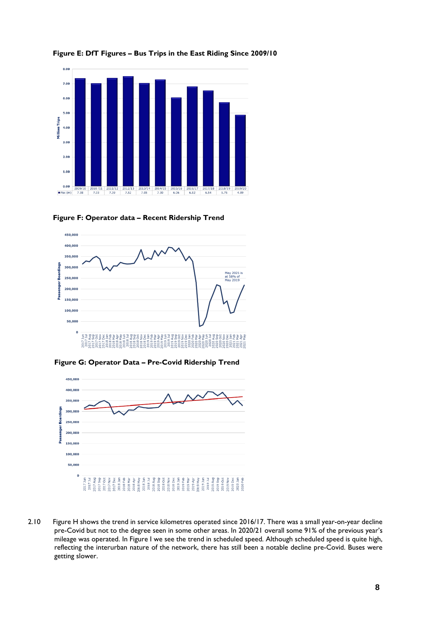

**Figure E: DfT Figures – Bus Trips in the East Riding Since 2009/10**





**Figure G: Operator Data – Pre-Covid Ridership Trend**



2.10 Figure H shows the trend in service kilometres operated since 2016/17. There was a small year-on-year decline pre-Covid but not to the degree seen in some other areas. In 2020/21 overall some 91% of the previous year's mileage was operated. In Figure I we see the trend in scheduled speed. Although scheduled speed is quite high, reflecting the interurban nature of the network, there has still been a notable decline pre-Covid. Buses were getting slower.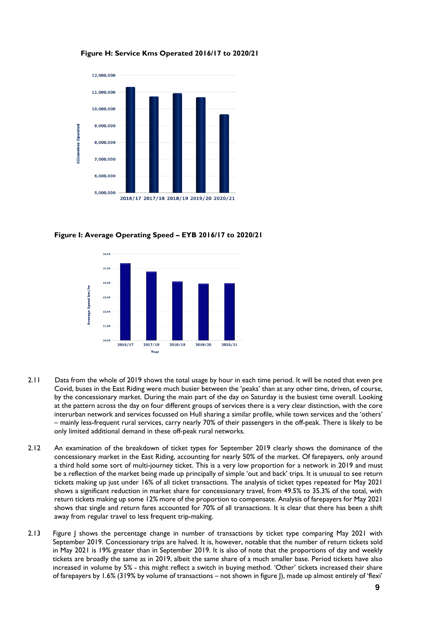

**Figure H: Service Kms Operated 2016/17 to 2020/21**

**Figure I: Average Operating Speed – EYB 2016/17 to 2020/21**



- 2.11 Data from the whole of 2019 shows the total usage by hour in each time period. It will be noted that even pre Covid, buses in the East Riding were much busier between the 'peaks' than at any other time, driven, of course, by the concessionary market. During the main part of the day on Saturday is the busiest time overall. Looking at the pattern across the day on four different groups of services there is a very clear distinction, with the core interurban network and services focussed on Hull sharing a similar profile, while town services and the 'others' – mainly less-frequent rural services, carry nearly 70% of their passengers in the off-peak. There is likely to be only limited additional demand in these off-peak rural networks.
- 2.12 An examination of the breakdown of ticket types for September 2019 clearly shows the dominance of the concessionary market in the East Riding, accounting for nearly 50% of the market. Of farepayers, only around a third hold some sort of multi-journey ticket. This is a very low proportion for a network in 2019 and must be a reflection of the market being made up principally of simple 'out and back' trips. It is unusual to see return tickets making up just under 16% of all ticket transactions. The analysis of ticket types repeated for May 2021 shows a significant reduction in market share for concessionary travel, from 49.5% to 35.3% of the total, with return tickets making up some 12% more of the proportion to compensate. Analysis of farepayers for May 2021 shows that single and return fares accounted for 70% of all transactions. It is clear that there has been a shift away from regular travel to less frequent trip-making.
- 2.13 Figure J shows the percentage change in number of transactions by ticket type comparing May 2021 with September 2019. Concessionary trips are halved. It is, however, notable that the number of return tickets sold in May 2021 is 19% greater than in September 2019. It is also of note that the proportions of day and weekly tickets are broadly the same as in 2019, albeit the same share of a much smaller base. Period tickets have also increased in volume by 5% - this might reflect a switch in buying method. 'Other' tickets increased their share of farepayers by 1.6% (319% by volume of transactions – not shown in figure J), made up almost entirely of 'flexi'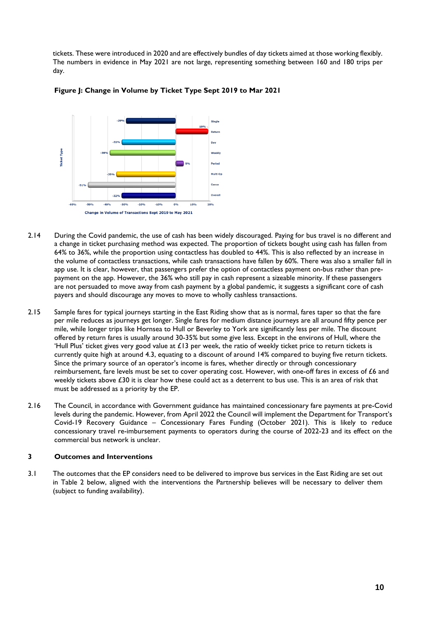tickets. These were introduced in 2020 and are effectively bundles of day tickets aimed at those working flexibly. The numbers in evidence in May 2021 are not large, representing something between 160 and 180 trips per day.



### **Figure J: Change in Volume by Ticket Type Sept 2019 to Mar 2021**

- 2.14 During the Covid pandemic, the use of cash has been widely discouraged. Paying for bus travel is no different and a change in ticket purchasing method was expected. The proportion of tickets bought using cash has fallen from 64% to 36%, while the proportion using contactless has doubled to 44%. This is also reflected by an increase in the volume of contactless transactions, while cash transactions have fallen by 60%. There was also a smaller fall in app use. It is clear, however, that passengers prefer the option of contactless payment on-bus rather than prepayment on the app. However, the 36% who still pay in cash represent a sizeable minority. If these passengers are not persuaded to move away from cash payment by a global pandemic, it suggests a significant core of cash payers and should discourage any moves to move to wholly cashless transactions.
- 2.15 Sample fares for typical journeys starting in the East Riding show that as is normal, fares taper so that the fare per mile reduces as journeys get longer. Single fares for medium distance journeys are all around fifty pence per mile, while longer trips like Hornsea to Hull or Beverley to York are significantly less per mile. The discount offered by return fares is usually around 30-35% but some give less. Except in the environs of Hull, where the 'Hull Plus' ticket gives very good value at  $E13$  per week, the ratio of weekly ticket price to return tickets is currently quite high at around 4.3, equating to a discount of around 14% compared to buying five return tickets. Since the primary source of an operator's income is fares, whether directly or through concessionary reimbursement, fare levels must be set to cover operating cost. However, with one-off fares in excess of £6 and weekly tickets above £30 it is clear how these could act as a deterrent to bus use. This is an area of risk that must be addressed as a priority by the EP.
- 2.16 The Council, in accordance with Government guidance has maintained concessionary fare payments at pre-Covid levels during the pandemic. However, from April 2022 the Council will implement the Department for Transport's Covid-19 Recovery Guidance – Concessionary Fares Funding (October 2021). This is likely to reduce concessionary travel re-imbursement payments to operators during the course of 2022-23 and its effect on the commercial bus network is unclear.

# **3 Outcomes and Interventions**

3.1 The outcomes that the EP considers need to be delivered to improve bus services in the East Riding are set out in Table 2 below, aligned with the interventions the Partnership believes will be necessary to deliver them (subject to funding availability).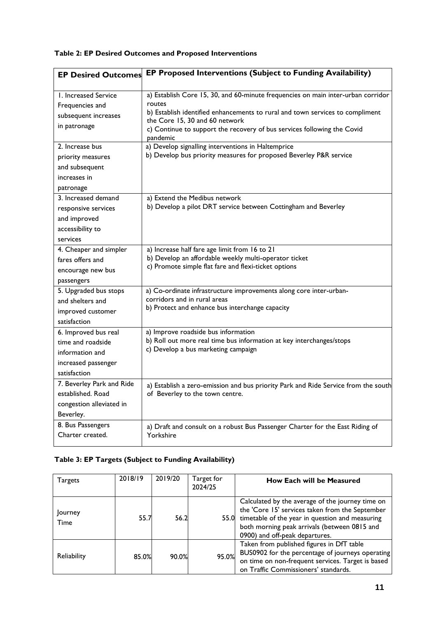# **Table 2: EP Desired Outcomes and Proposed Interventions**

| <b>EP Desired Outcomes</b>  | EP Proposed Interventions (Subject to Funding Availability)                                               |
|-----------------------------|-----------------------------------------------------------------------------------------------------------|
| <b>L. Increased Service</b> | a) Establish Core 15, 30, and 60-minute frequencies on main inter-urban corridor                          |
| Frequencies and             | routes                                                                                                    |
| subsequent increases        | b) Establish identified enhancements to rural and town services to compliment                             |
| in patronage                | the Core 15, 30 and 60 network<br>c) Continue to support the recovery of bus services following the Covid |
|                             | pandemic                                                                                                  |
| 2. Increase bus             | a) Develop signalling interventions in Haltemprice                                                        |
| priority measures           | b) Develop bus priority measures for proposed Beverley P&R service                                        |
| and subsequent              |                                                                                                           |
| increases in                |                                                                                                           |
| patronage                   |                                                                                                           |
| 3. Increased demand         | a) Extend the Medibus network                                                                             |
| responsive services         | b) Develop a pilot DRT service between Cottingham and Beverley                                            |
| and improved                |                                                                                                           |
| accessibility to            |                                                                                                           |
| services                    |                                                                                                           |
| 4. Cheaper and simpler      | a) Increase half fare age limit from 16 to 21                                                             |
| fares offers and            | b) Develop an affordable weekly multi-operator ticket                                                     |
| encourage new bus           | c) Promote simple flat fare and flexi-ticket options                                                      |
| passengers                  |                                                                                                           |
| 5. Upgraded bus stops       | a) Co-ordinate infrastructure improvements along core inter-urban-                                        |
| and shelters and            | corridors and in rural areas                                                                              |
| improved customer           | b) Protect and enhance bus interchange capacity                                                           |
| satisfaction                |                                                                                                           |
| 6. Improved bus real        | a) Improve roadside bus information                                                                       |
| time and roadside           | b) Roll out more real time bus information at key interchanges/stops                                      |
| information and             | c) Develop a bus marketing campaign                                                                       |
| increased passenger         |                                                                                                           |
| satisfaction                |                                                                                                           |
| 7. Beverley Park and Ride   | a) Establish a zero-emission and bus priority Park and Ride Service from the south                        |
| established. Road           | of Beverley to the town centre.                                                                           |
| congestion alleviated in    |                                                                                                           |
| Beverley.                   |                                                                                                           |
| 8. Bus Passengers           | a) Draft and consult on a robust Bus Passenger Charter for the East Riding of                             |
| Charter created.            | Yorkshire                                                                                                 |
|                             |                                                                                                           |

# **Table 3: EP Targets (Subject to Funding Availability)**

| <b>Targets</b>  | 2018/19 | 2019/20 | Target for<br>2024/25 | <b>How Each will be Measured</b>                                                                                                                                                                                                              |
|-----------------|---------|---------|-----------------------|-----------------------------------------------------------------------------------------------------------------------------------------------------------------------------------------------------------------------------------------------|
| Journey<br>Time | 55.7    | 56.2    |                       | Calculated by the average of the journey time on<br>the 'Core 15' services taken from the September<br>55.0 timetable of the year in question and measuring<br>both morning peak arrivals (between 0815 and<br>0900) and off-peak departures. |
| Reliability     | 85.0%   | 90.0%   | 95.0%                 | Taken from published figures in DfT table<br>BUS0902 for the percentage of journeys operating<br>on time on non-frequent services. Target is based<br>on Traffic Commissioners' standards.                                                    |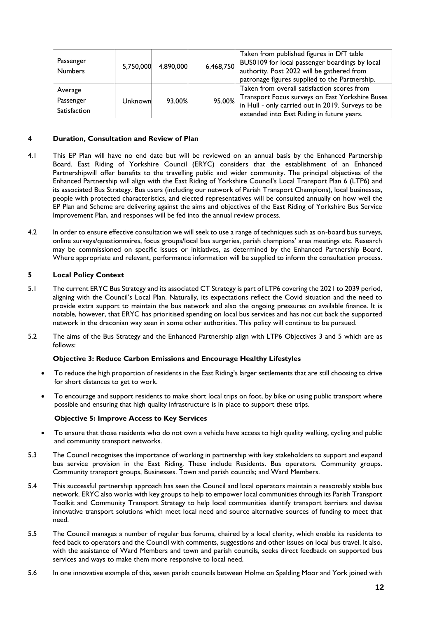| Passenger<br><b>Numbers</b>          | 5,750,000 | 4,890,000 | 6,468,750 | Taken from published figures in DfT table<br>BUS0109 for local passenger boardings by local<br>authority. Post 2022 will be gathered from<br>patronage figures supplied to the Partnership.       |
|--------------------------------------|-----------|-----------|-----------|---------------------------------------------------------------------------------------------------------------------------------------------------------------------------------------------------|
| Average<br>Passenger<br>Satisfaction | Unknown   | 93.00%    | 95.00%    | Taken from overall satisfaction scores from<br>Transport Focus surveys on East Yorkshire Buses<br>in Hull - only carried out in 2019. Surveys to be<br>extended into East Riding in future years. |

## **4 Duration, Consultation and Review of Plan**

- 4.1 This EP Plan will have no end date but will be reviewed on an annual basis by the Enhanced Partnership Board. East Riding of Yorkshire Council (ERYC) considers that the establishment of an Enhanced Partnershipwill offer benefits to the travelling public and wider community. The principal objectives of the Enhanced Partnership will align with the East Riding of Yorkshire Council's Local Transport Plan 6 (LTP6) and its associated Bus Strategy. Bus users (including our network of Parish Transport Champions), local businesses, people with protected characteristics, and elected representatives will be consulted annually on how well the EP Plan and Scheme are delivering against the aims and objectives of the East Riding of Yorkshire Bus Service Improvement Plan, and responses will be fed into the annual review process.
- 4.2 In order to ensure effective consultation we will seek to use a range of techniques such as on-board bus surveys, online surveys/questionnaires, focus groups/local bus surgeries, parish champions' area meetings etc. Research may be commissioned on specific issues or initiatives, as determined by the Enhanced Partnership Board. Where appropriate and relevant, performance information will be supplied to inform the consultation process.

# **5 Local Policy Context**

- 5.1 The current ERYC Bus Strategy and its associated CT Strategy is part of LTP6 covering the 2021 to 2039 period, aligning with the Council's Local Plan. Naturally, its expectations reflect the Covid situation and the need to provide extra support to maintain the bus network and also the ongoing pressures on available finance. It is notable, however, that ERYC has prioritised spending on local bus services and has not cut back the supported network in the draconian way seen in some other authorities. This policy will continue to be pursued.
- 5.2 The aims of the Bus Strategy and the Enhanced Partnership align with LTP6 Objectives 3 and 5 which are as follows:

### **Objective 3: Reduce Carbon Emissions and Encourage Healthy Lifestyles**

- To reduce the high proportion of residents in the East Riding's larger settlements that are still choosing to drive for short distances to get to work.
- To encourage and support residents to make short local trips on foot, by bike or using public transport where possible and ensuring that high quality infrastructure is in place to support these trips.

## **Objective 5: Improve Access to Key Services**

- To ensure that those residents who do not own a vehicle have access to high quality walking, cycling and public and community transport networks.
- 5.3 The Council recognises the importance of working in partnership with key stakeholders to support and expand bus service provision in the East Riding. These include Residents. Bus operators. Community groups. Community transport groups, Businesses. Town and parish councils; and Ward Members.
- 5.4 This successful partnership approach has seen the Council and local operators maintain a reasonably stable bus network. ERYC also works with key groups to help to empower local communities through its Parish Transport Toolkit and Community Transport Strategy to help local communities identify transport barriers and devise innovative transport solutions which meet local need and source alternative sources of funding to meet that need.
- 5.5 The Council manages a number of regular bus forums, chaired by a local charity, which enable its residents to feed back to operators and the Council with comments, suggestions and other issues on local bus travel. It also, with the assistance of Ward Members and town and parish councils, seeks direct feedback on supported bus services and ways to make them more responsive to local need.
- 5.6 In one innovative example of this, seven parish councils between Holme on Spalding Moor and York joined with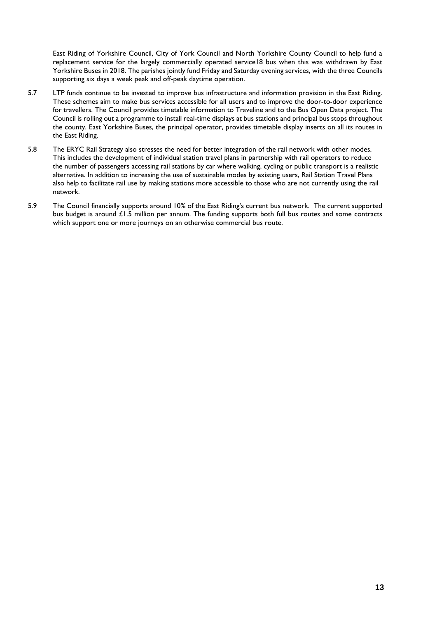East Riding of Yorkshire Council, City of York Council and North Yorkshire County Council to help fund a replacement service for the largely commercially operated service18 bus when this was withdrawn by East Yorkshire Buses in 2018. The parishes jointly fund Friday and Saturday evening services, with the three Councils supporting six days a week peak and off-peak daytime operation.

- 5.7 LTP funds continue to be invested to improve bus infrastructure and information provision in the East Riding. These schemes aim to make bus services accessible for all users and to improve the door-to-door experience for travellers. The Council provides timetable information to Traveline and to the Bus Open Data project. The Council is rolling out a programme to install real-time displays at bus stations and principal bus stops throughout the county. East Yorkshire Buses, the principal operator, provides timetable display inserts on all its routes in the East Riding.
- 5.8 The ERYC Rail Strategy also stresses the need for better integration of the rail network with other modes. This includes the development of individual station travel plans in partnership with rail operators to reduce the number of passengers accessing rail stations by car where walking, cycling or public transport is a realistic alternative. In addition to increasing the use of sustainable modes by existing users, Rail Station Travel Plans also help to facilitate rail use by making stations more accessible to those who are not currently using the rail network.
- 5.9 The Council financially supports around 10% of the East Riding's current bus network. The current supported bus budget is around £1.5 million per annum. The funding supports both full bus routes and some contracts which support one or more journeys on an otherwise commercial bus route.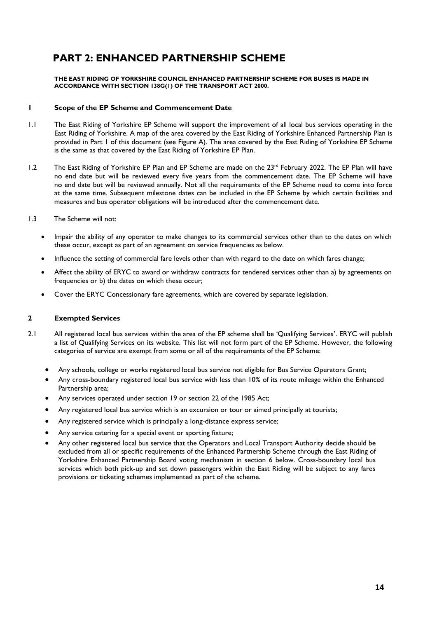# **PART 2: ENHANCED PARTNERSHIP SCHEME**

**THE EAST RIDING OF YORKSHIRE COUNCIL ENHANCED PARTNERSHIP SCHEME FOR BUSES IS MADE IN ACCORDANCE WITH SECTION 138G(1) OF THE TRANSPORT ACT 2000.**

## **1 Scope of the EP Scheme and Commencement Date**

- 1.1 The East Riding of Yorkshire EP Scheme will support the improvement of all local bus services operating in the East Riding of Yorkshire. A map of the area covered by the East Riding of Yorkshire Enhanced Partnership Plan is provided in Part 1 of this document (see Figure A). The area covered by the East Riding of Yorkshire EP Scheme is the same as that covered by the East Riding of Yorkshire EP Plan.
- 1.2 The East Riding of Yorkshire EP Plan and EP Scheme are made on the 23<sup>rd</sup> February 2022. The EP Plan will have no end date but will be reviewed every five years from the commencement date. The EP Scheme will have no end date but will be reviewed annually. Not all the requirements of the EP Scheme need to come into force at the same time. Subsequent milestone dates can be included in the EP Scheme by which certain facilities and measures and bus operator obligations will be introduced after the commencement date.
- 1.3 The Scheme will not:
	- Impair the ability of any operator to make changes to its commercial services other than to the dates on which these occur, except as part of an agreement on service frequencies as below.
	- Influence the setting of commercial fare levels other than with regard to the date on which fares change;
	- Affect the ability of ERYC to award or withdraw contracts for tendered services other than a) by agreements on frequencies or b) the dates on which these occur;
	- Cover the ERYC Concessionary fare agreements, which are covered by separate legislation.

### **2 Exempted Services**

- 2.1 All registered local bus services within the area of the EP scheme shall be 'Qualifying Services'. ERYC will publish a list of Qualifying Services on its website. This list will not form part of the EP Scheme. However, the following categories of service are exempt from some or all of the requirements of the EP Scheme:
	- Any schools, college or works registered local bus service not eligible for Bus Service Operators Grant;
	- Any cross-boundary registered local bus service with less than 10% of its route mileage within the Enhanced Partnership area;
	- Any services operated under section 19 or section 22 of the 1985 Act;
	- Any registered local bus service which is an excursion or tour or aimed principally at tourists;
	- Any registered service which is principally a long-distance express service;
	- Any service catering for a special event or sporting fixture;
	- Any other registered local bus service that the Operators and Local Transport Authority decide should be excluded from all or specific requirements of the Enhanced Partnership Scheme through the East Riding of Yorkshire Enhanced Partnership Board voting mechanism in section 6 below. Cross-boundary local bus services which both pick-up and set down passengers within the East Riding will be subject to any fares provisions or ticketing schemes implemented as part of the scheme.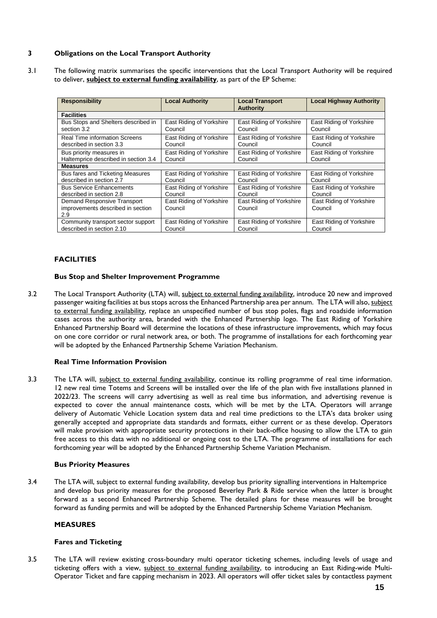# **3 Obligations on the Local Transport Authority**

3.1 The following matrix summarises the specific interventions that the Local Transport Authority will be required to deliver, **subject to external funding availability**, as part of the EP Scheme:

| <b>Responsibility</b>                                                   | <b>Local Authority</b>              | <b>Local Transport</b><br><b>Authority</b> | <b>Local Highway Authority</b>      |
|-------------------------------------------------------------------------|-------------------------------------|--------------------------------------------|-------------------------------------|
| <b>Facilities</b>                                                       |                                     |                                            |                                     |
| Bus Stops and Shelters described in                                     | East Riding of Yorkshire            | East Riding of Yorkshire                   | East Riding of Yorkshire            |
| section 3.2                                                             | Council                             | Council                                    | Council                             |
| <b>Real Time information Screens</b>                                    | East Riding of Yorkshire            | East Riding of Yorkshire                   | East Riding of Yorkshire            |
| described in section 3.3                                                | Council                             | Council                                    | Council                             |
| Bus priority measures in                                                | East Riding of Yorkshire            | East Riding of Yorkshire                   | East Riding of Yorkshire            |
| Haltemprice described in section 3.4                                    | Council                             | Council                                    | Council                             |
| <b>Measures</b>                                                         |                                     |                                            |                                     |
| <b>Bus fares and Ticketing Measures</b>                                 | East Riding of Yorkshire            | East Riding of Yorkshire                   | East Riding of Yorkshire            |
| described in section 2.7                                                | Council                             | Council                                    | Council                             |
| <b>Bus Service Enhancements</b>                                         | East Riding of Yorkshire            | East Riding of Yorkshire                   | East Riding of Yorkshire            |
| described in section 2.8                                                | Council                             | Council                                    | Council                             |
| Demand Responsive Transport<br>improvements described in section<br>2.9 | East Riding of Yorkshire<br>Council | East Riding of Yorkshire<br>Council        | East Riding of Yorkshire<br>Council |
| Community transport sector support                                      | East Riding of Yorkshire            | East Riding of Yorkshire                   | East Riding of Yorkshire            |
| described in section 2.10                                               | Council                             | Council                                    | Council                             |

# **FACILITIES**

## **Bus Stop and Shelter Improvement Programme**

3.2 The Local Transport Authority (LTA) will, subject to external funding availability, introduce 20 new and improved passenger waiting facilities at bus stops across the Enhanced Partnership area per annum. The LTA will also, subject to external funding availability, replace an unspecified number of bus stop poles, flags and roadside information cases across the authority area, branded with the Enhanced Partnership logo. The East Riding of Yorkshire Enhanced Partnership Board will determine the locations of these infrastructure improvements, which may focus on one core corridor or rural network area, or both. The programme of installations for each forthcoming year will be adopted by the Enhanced Partnership Scheme Variation Mechanism.

# **Real Time Information Provision**

3.3 The LTA will, subject to external funding availability, continue its rolling programme of real time information. 12 new real time Totems and Screens will be installed over the life of the plan with five installations planned in 2022/23. The screens will carry advertising as well as real time bus information, and advertising revenue is expected to cover the annual maintenance costs, which will be met by the LTA. Operators will arrange delivery of Automatic Vehicle Location system data and real time predictions to the LTA's data broker using generally accepted and appropriate data standards and formats, either current or as these develop. Operators will make provision with appropriate security protections in their back-office housing to allow the LTA to gain free access to this data with no additional or ongoing cost to the LTA. The programme of installations for each forthcoming year will be adopted by the Enhanced Partnership Scheme Variation Mechanism.

### **Bus Priority Measures**

3.4 The LTA will, subject to external funding availability, develop bus priority signalling interventions in Haltemprice and develop bus priority measures for the proposed Beverley Park & Ride service when the latter is brought forward as a second Enhanced Partnership Scheme. The detailed plans for these measures will be brought forward as funding permits and will be adopted by the Enhanced Partnership Scheme Variation Mechanism.

### **MEASURES**

### **Fares and Ticketing**

3.5 The LTA will review existing cross-boundary multi operator ticketing schemes, including levels of usage and ticketing offers with a view, subject to external funding availability, to introducing an East Riding-wide Multi-Operator Ticket and fare capping mechanism in 2023. All operators will offer ticket sales by contactless payment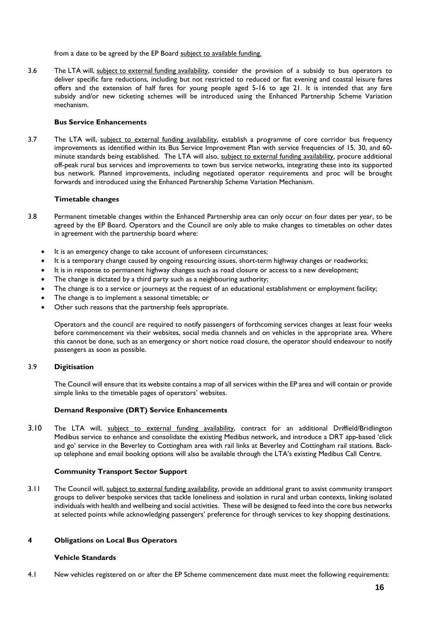from a date to be agreed by the EP Board subject to available funding.

3.6 The LTA will, subject to external funding availability, consider the provision of a subsidy to bus operators to deliver specific fare reductions, including but not restricted to reduced or flat evening and coastal leisure fares offers and the extension of half fares for young people aged 5-16 to age 21. It is intended that any fare subsidy and/or new ticketing schemes will be introduced using the Enhanced Partnership Scheme Variation mechanism.

### **Bus Service Enhancements**

3.7 The LTA will, subject to external funding availability, establish a programme of core corridor bus frequency improvements as identified within its Bus Service Improvement Plan with service frequencies of 15, 30, and 60 minute standards being established. The LTA will also, subject to external funding availability, procure additional off-peak rural bus services and improvements to town bus service networks, integrating these into its supported bus network. Planned improvements, including negotiated operator requirements and proc will be brought forwards and introduced using the Enhanced Partnership Scheme Variation Mechanism.

### **Timetable changes**

- 3.8 Permanent timetable changes within the Enhanced Partnership area can only occur on four dates per year, to be agreed by the EP Board. Operators and the Council are only able to make changes to timetables on other dates in agreement with the partnership board where:
	- It is an emergency change to take account of unforeseen circumstances;
	- It is a temporary change caused by ongoing resourcing issues, short-term highway changes or roadworks;
	- It is in response to permanent highway changes such as road closure or access to a new development;
	- The change is dictated by a third party such as a neighbouring authority;
	- The change is to a service or journeys at the request of an educational establishment or employment facility;
	- The change is to implement a seasonal timetable; or
	- Other such reasons that the partnership feels appropriate.

Operators and the council are required to notify passengers of forthcoming services changes at least four weeks before commencement via their websites, social media channels and on vehicles in the appropriate area. Where this cannot be done, such as an emergency or short notice road closure, the operator should endeavour to notify passengers as soon as possible.

### 3.9 **Digitisation**

The Council will ensure that its website contains a map of all services within the EP area and will contain or provide simple links to the timetable pages of operators' websites.

### **Demand Responsive (DRT) Service Enhancements**

3.10 The LTA will, subject to external funding availability, contract for an additional Driffield/Bridlington Medibus service to enhance and consolidate the existing Medibus network, and introduce a DRT app-based 'click and go' service in the Beverley to Cottingham area with rail links at Beverley and Cottingham rail stations. Backup telephone and email booking options will also be available through the LTA's existing Medibus Call Centre.

### **Community Transport Sector Support**

3.11 The Council will, subject to external funding availability, provide an additional grant to assist community transport groups to deliver bespoke services that tackle loneliness and isolation in rural and urban contexts, linking isolated individuals with health and wellbeing and social activities. These will be designed to feed into the core bus networks at selected points while acknowledging passengers' preference for through services to key shopping destinations.

#### **4 Obligations on Local Bus Operators**

#### **Vehicle Standards**

4.1 New vehicles registered on or after the EP Scheme commencement date must meet the following requirements: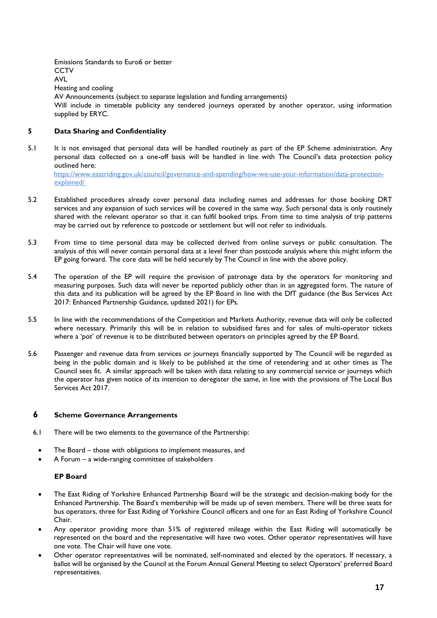Emissions Standards to Euro6 or better **CCTV** AVL Heating and cooling AV Announcements (subject to separate legislation and funding arrangements) Will include in timetable publicity any tendered journeys operated by another operator, using information supplied by ERYC.

# **5 Data Sharing and Confidentiality**

5.1 It is not envisaged that personal data will be handled routinely as part of the EP Scheme administration. Any personal data collected on a one-off basis will be handled in line with The Council's data protection policy outlined here:

[https://www.eastriding.gov.uk/council/governance-and-spending/how-we-use-your-in](https://www.eastriding.gov.uk/council/governance-and-spending/how-we-use-your-)formation/data-protectionexplained/

- 5.2 Established procedures already cover personal data including names and addresses for those booking DRT services and any expansion of such services will be covered in the same way. Such personal data is only routinely shared with the relevant operator so that it can fulfil booked trips. From time to time analysis of trip patterns may be carried out by reference to postcode or settlement but will not refer to individuals.
- 5.3 From time to time personal data may be collected derived from online surveys or public consultation. The analysis of this will never contain personal data at a level finer than postcode analysis where this might inform the EP going forward. The core data will be held securely by The Council in line with the above policy.
- 5.4 The operation of the EP will require the provision of patronage data by the operators for monitoring and measuring purposes. Such data will never be reported publicly other than in an aggregated form. The nature of this data and its publication will be agreed by the EP Board in line with the DfT guidance (the Bus Services Act 2017: Enhanced Partnership Guidance, updated 2021) for EPs.
- 5.5 In line with the recommendations of the Competition and Markets Authority, revenue data will only be collected where necessary. Primarily this will be in relation to subsidised fares and for sales of multi-operator tickets where a 'pot' of revenue is to be distributed between operators on principles agreed by the EP Board.
- 5.6 Passenger and revenue data from services or journeys financially supported by The Council will be regarded as being in the public domain and is likely to be published at the time of retendering and at other times as The Council sees fit. A similar approach will be taken with data relating to any commercial service or journeys which the operator has given notice of its intention to deregister the same, in line with the provisions of The Local Bus Services Act 2017.

# **6 Scheme Governance Arrangements**

- 6.1 There will be two elements to the governance of the Partnership:
	- The Board those with obligations to implement measures, and
	- A Forum a wide-ranging committee of stakeholders

### **EP Board**

- The East Riding of Yorkshire Enhanced Partnership Board will be the strategic and decision-making body for the Enhanced Partnership. The Board's membership will be made up of seven members. There will be three seats for bus operators, three for East Riding of Yorkshire Council officers and one for an East Riding of Yorkshire Council Chair.
- Any operator providing more than 51% of registered mileage within the East Riding will automatically be represented on the board and the representative will have two votes. Other operator representatives will have one vote. The Chair will have one vote.
- Other operator representatives will be nominated, self-nominated and elected by the operators. If necessary, a ballot will be organised by the Council at the Forum Annual General Meeting to select Operators' preferred Board representatives.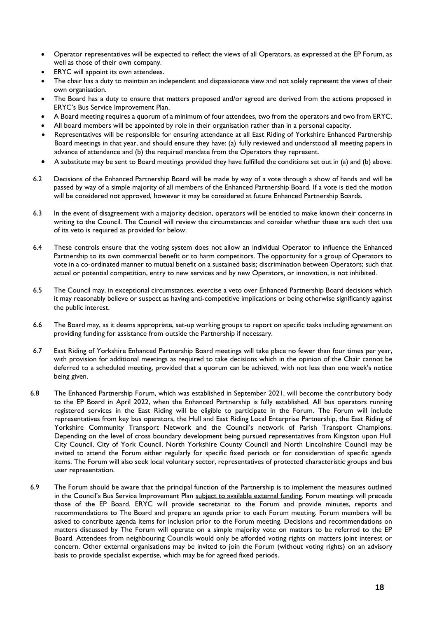- Operator representatives will be expected to reflect the views of all Operators, as expressed at the EP Forum, as well as those of their own company.
- ERYC will appoint its own attendees.
- The chair has a duty to maintain an independent and dispassionate view and not solely represent the views of their own organisation.
- The Board has a duty to ensure that matters proposed and/or agreed are derived from the actions proposed in ERYC's Bus Service Improvement Plan.
- A Board meeting requires a quorum of a minimum of four attendees, two from the operators and two from ERYC.
- All board members will be appointed by role in their organisation rather than in a personal capacity.
- Representatives will be responsible for ensuring attendance at all East Riding of Yorkshire Enhanced Partnership Board meetings in that year, and should ensure they have: (a) fully reviewed and understood all meeting papers in advance of attendance and (b) the required mandate from the Operators they represent.
- A substitute may be sent to Board meetings provided they have fulfilled the conditions set out in (a) and (b) above.
- 6.2 Decisions of the Enhanced Partnership Board will be made by way of a vote through a show of hands and will be passed by way of a simple majority of all members of the Enhanced Partnership Board. If a vote is tied the motion will be considered not approved, however it may be considered at future Enhanced Partnership Boards.
- 6.3 In the event of disagreement with a majority decision, operators will be entitled to make known their concerns in writing to the Council. The Council will review the circumstances and consider whether these are such that use of its veto is required as provided for below.
- 6.4 These controls ensure that the voting system does not allow an individual Operator to influence the Enhanced Partnership to its own commercial benefit or to harm competitors. The opportunity for a group of Operators to vote in a co-ordinated manner to mutual benefit on a sustained basis; discrimination between Operators; such that actual or potential competition, entry to new services and by new Operators, or innovation, is not inhibited.
- 6.5 The Council may, in exceptional circumstances, exercise a veto over Enhanced Partnership Board decisions which it may reasonably believe or suspect as having anti-competitive implications or being otherwise significantly against the public interest.
- 6.6 The Board may, as it deems appropriate, set-up working groups to report on specific tasks including agreement on providing funding for assistance from outside the Partnership if necessary.
- 6.7 East Riding of Yorkshire Enhanced Partnership Board meetings will take place no fewer than four times per year, with provision for additional meetings as required to take decisions which in the opinion of the Chair cannot be deferred to a scheduled meeting, provided that a quorum can be achieved, with not less than one week's notice being given.
- 6.8 The Enhanced Partnership Forum, which was established in September 2021, will become the contributory body to the EP Board in April 2022, when the Enhanced Partnership is fully established. All bus operators running registered services in the East Riding will be eligible to participate in the Forum. The Forum will include representatives from key bus operators, the Hull and East Riding Local Enterprise Partnership, the East Riding of Yorkshire Community Transport Network and the Council's network of Parish Transport Champions. Depending on the level of cross boundary development being pursued representatives from Kingston upon Hull City Council, City of York Council. North Yorkshire County Council and North Lincolnshire Council may be invited to attend the Forum either regularly for specific fixed periods or for consideration of specific agenda items. The Forum will also seek local voluntary sector, representatives of protected characteristic groups and bus user representation.
- 6.9 The Forum should be aware that the principal function of the Partnership is to implement the measures outlined in the Council's Bus Service Improvement Plan subject to available external funding. Forum meetings will precede those of the EP Board. ERYC will provide secretariat to the Forum and provide minutes, reports and recommendations to The Board and prepare an agenda prior to each Forum meeting. Forum members will be asked to contribute agenda items for inclusion prior to the Forum meeting. Decisions and recommendations on matters discussed by The Forum will operate on a simple majority vote on matters to be referred to the EP Board. Attendees from neighbouring Councils would only be afforded voting rights on matters joint interest or concern. Other external organisations may be invited to join the Forum (without voting rights) on an advisory basis to provide specialist expertise, which may be for agreed fixed periods.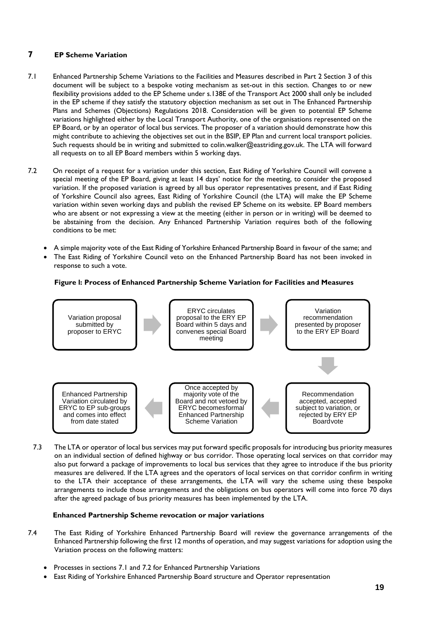# **7 EP Scheme Variation**

- 7.1 Enhanced Partnership Scheme Variations to the Facilities and Measures described in Part 2 Section 3 of this document will be subject to a bespoke voting mechanism as set-out in this section. Changes to or new flexibility provisions added to the EP Scheme under s.138E of the Transport Act 2000 shall only be included in the EP scheme if they satisfy the statutory objection mechanism as set out in The Enhanced Partnership Plans and Schemes (Objections) Regulations 2018. Consideration will be given to potential EP Scheme variations highlighted either by the Local Transport Authority, one of the organisations represented on the EP Board, or by an operator of local bus services. The proposer of a variation should demonstrate how this might contribute to achieving the objectives set out in the BSIP, EP Plan and current local transport policies. Such requests should be in writing and submitted to colin.walker@eastriding.gov.uk. The LTA will forward all requests on to all EP Board members within 5 working days.
- 7.2 On receipt of a request for a variation under this section, East Riding of Yorkshire Council will convene a special meeting of the EP Board, giving at least 14 days' notice for the meeting, to consider the proposed variation. If the proposed variation is agreed by all bus operator representatives present, and if East Riding of Yorkshire Council also agrees, East Riding of Yorkshire Council (the LTA) will make the EP Scheme variation within seven working days and publish the revised EP Scheme on its website. EP Board members who are absent or not expressing a view at the meeting (either in person or in writing) will be deemed to be abstaining from the decision. Any Enhanced Partnership Variation requires both of the following conditions to be met:
	- A simple majority vote of the East Riding of Yorkshire Enhanced Partnership Board in favour of the same; and
	- The East Riding of Yorkshire Council veto on the Enhanced Partnership Board has not been invoked in response to such a vote.

# **Figure l: Process of Enhanced Partnership Scheme Variation for Facilities and Measures**



7.3 The LTA or operator of local bus services may put forward specific proposals for introducing bus priority measures on an individual section of defined highway or bus corridor. Those operating local services on that corridor may also put forward a package of improvements to local bus services that they agree to introduce if the bus priority measures are delivered. If the LTA agrees and the operators of local services on that corridor confirm in writing to the LTA their acceptance of these arrangements, the LTA will vary the scheme using these bespoke arrangements to include those arrangements and the obligations on bus operators will come into force 70 days after the agreed package of bus priority measures has been implemented by the LTA.

### **Enhanced Partnership Scheme revocation or major variations**

- 7.4 The East Riding of Yorkshire Enhanced Partnership Board will review the governance arrangements of the Enhanced Partnership following the first 12 months of operation, and may suggest variations for adoption using the Variation process on the following matters:
	- Processes in sections 7.1 and 7.2 for Enhanced Partnership Variations
	- East Riding of Yorkshire Enhanced Partnership Board structure and Operator representation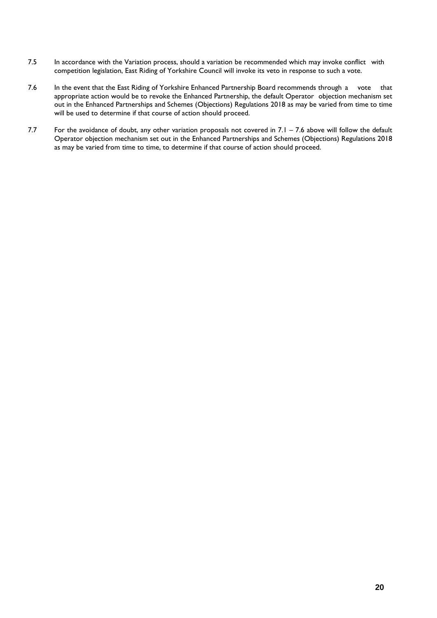- 7.5 In accordance with the Variation process, should a variation be recommended which may invoke conflict with competition legislation, East Riding of Yorkshire Council will invoke its veto in response to such a vote.
- 7.6 In the event that the East Riding of Yorkshire Enhanced Partnership Board recommends through a vote that appropriate action would be to revoke the Enhanced Partnership, the default Operator objection mechanism set out in the Enhanced Partnerships and Schemes (Objections) Regulations 2018 as may be varied from time to time will be used to determine if that course of action should proceed.
- 7.7 For the avoidance of doubt, any other variation proposals not covered in 7.1 7.6 above will follow the default Operator objection mechanism set out in the Enhanced Partnerships and Schemes (Objections) Regulations 2018 as may be varied from time to time, to determine if that course of action should proceed.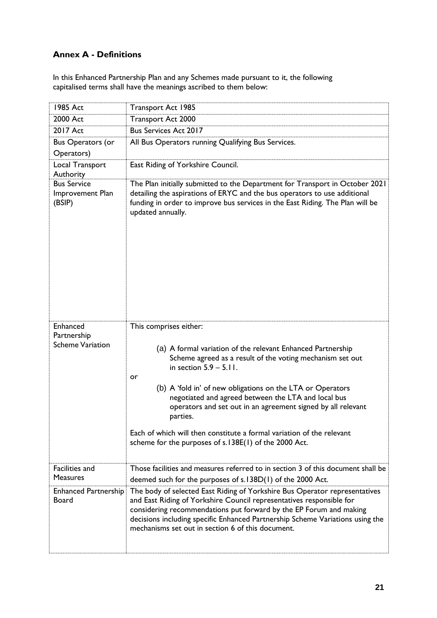# **Annex A - Definitions**

In this Enhanced Partnership Plan and any Schemes made pursuant to it, the following capitalised terms shall have the meanings ascribed to them below:

| 1985 Act                                           | Transport Act 1985                                                                                                                                                                                                                                                                                                                                                                                                                                                                                                       |
|----------------------------------------------------|--------------------------------------------------------------------------------------------------------------------------------------------------------------------------------------------------------------------------------------------------------------------------------------------------------------------------------------------------------------------------------------------------------------------------------------------------------------------------------------------------------------------------|
| 2000 Act                                           | Transport Act 2000                                                                                                                                                                                                                                                                                                                                                                                                                                                                                                       |
| 2017 Act                                           | <b>Bus Services Act 2017</b>                                                                                                                                                                                                                                                                                                                                                                                                                                                                                             |
| <b>Bus Operators (or</b><br>Operators)             | All Bus Operators running Qualifying Bus Services.                                                                                                                                                                                                                                                                                                                                                                                                                                                                       |
| Local Transport<br>Authority                       | East Riding of Yorkshire Council.                                                                                                                                                                                                                                                                                                                                                                                                                                                                                        |
| <b>Bus Service</b><br>Improvement Plan<br>(BSIP)   | The Plan initially submitted to the Department for Transport in October 2021<br>detailing the aspirations of ERYC and the bus operators to use additional<br>funding in order to improve bus services in the East Riding. The Plan will be<br>updated annually.                                                                                                                                                                                                                                                          |
| Enhanced<br>Partnership<br><b>Scheme Variation</b> | This comprises either:<br>(a) A formal variation of the relevant Enhanced Partnership<br>Scheme agreed as a result of the voting mechanism set out<br>in section $5.9 - 5.11$ .<br>or<br>(b) A 'fold in' of new obligations on the LTA or Operators<br>negotiated and agreed between the LTA and local bus<br>operators and set out in an agreement signed by all relevant<br>parties.<br>Each of which will then constitute a formal variation of the relevant<br>scheme for the purposes of s.138E(1) of the 2000 Act. |
| Facilities and<br><b>Measures</b>                  | Those facilities and measures referred to in section 3 of this document shall be<br>deemed such for the purposes of s.138D(1) of the 2000 Act.                                                                                                                                                                                                                                                                                                                                                                           |
| Enhanced Partnership<br>Board                      | The body of selected East Riding of Yorkshire Bus Operator representatives<br>and East Riding of Yorkshire Council representatives responsible for<br>considering recommendations put forward by the EP Forum and making<br>decisions including specific Enhanced Partnership Scheme Variations using the<br>mechanisms set out in section 6 of this document.                                                                                                                                                           |